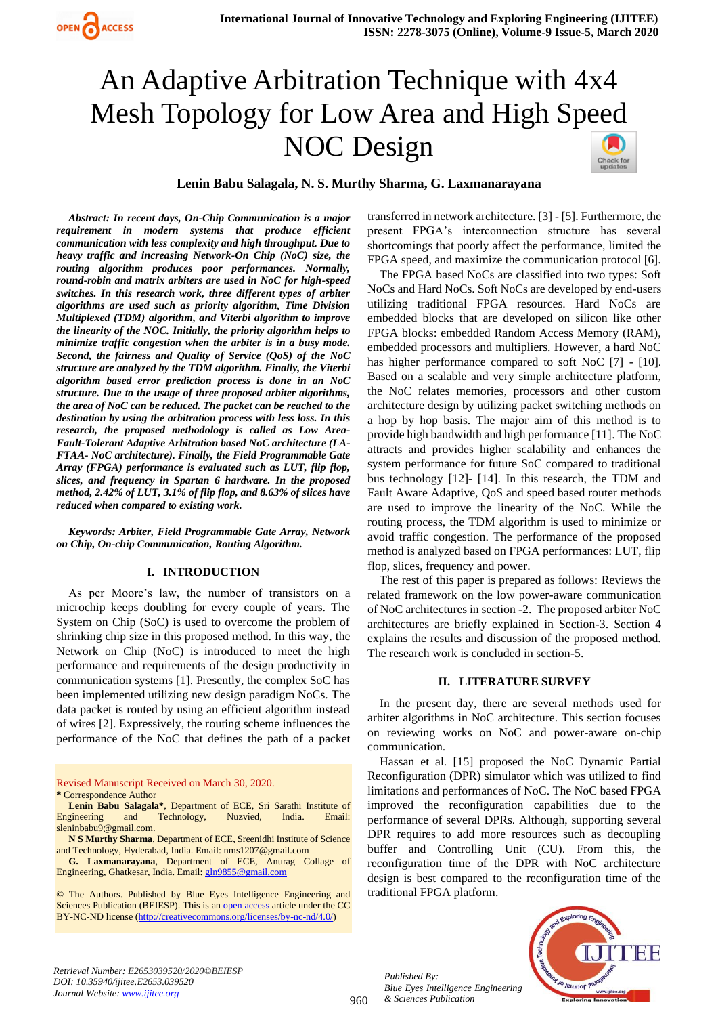

# An Adaptive Arbitration Technique with 4x4 Mesh Topology for Low Area and High Speed NOC Design



# **Lenin Babu Salagala, N. S. Murthy Sharma, G. Laxmanarayana**

*Abstract: In recent days, On-Chip Communication is a major requirement in modern systems that produce efficient communication with less complexity and high throughput. Due to heavy traffic and increasing Network-On Chip (NoC) size, the routing algorithm produces poor performances. Normally, round-robin and matrix arbiters are used in NoC for high-speed switches. In this research work, three different types of arbiter algorithms are used such as priority algorithm, Time Division Multiplexed (TDM) algorithm, and Viterbi algorithm to improve the linearity of the NOC. Initially, the priority algorithm helps to minimize traffic congestion when the arbiter is in a busy mode. Second, the fairness and Quality of Service (QoS) of the NoC structure are analyzed by the TDM algorithm. Finally, the Viterbi algorithm based error prediction process is done in an NoC structure. Due to the usage of three proposed arbiter algorithms, the area of NoC can be reduced. The packet can be reached to the destination by using the arbitration process with less loss. In this research, the proposed methodology is called as Low Area-Fault-Tolerant Adaptive Arbitration based NoC architecture (LA-FTAA- NoC architecture). Finally, the Field Programmable Gate Array (FPGA) performance is evaluated such as LUT, flip flop, slices, and frequency in Spartan 6 hardware. In the proposed method, 2.42% of LUT, 3.1% of flip flop, and 8.63% of slices have reduced when compared to existing work.*

*Keywords: Arbiter, Field Programmable Gate Array, Network on Chip, On-chip Communication, Routing Algorithm.*

#### **I. INTRODUCTION**

As per Moore's law, the number of transistors on a microchip keeps doubling for every couple of years. The System on Chip (SoC) is used to overcome the problem of shrinking chip size in this proposed method. In this way, the Network on Chip (NoC) is introduced to meet the high performance and requirements of the design productivity in communication systems [1]. Presently, the complex SoC has been implemented utilizing new design paradigm NoCs. The data packet is routed by using an efficient algorithm instead of wires [2]. Expressively, the routing scheme influences the performance of the NoC that defines the path of a packet

Revised Manuscript Received on March 30, 2020. **\*** Correspondence Author

**Lenin Babu Salagala\***, Department of ECE, Sri Sarathi Institute of Engineering and Technology, Nuzvied, India. Email: sleninbabu9@gmail.com.

**N S Murthy Sharma**, Department of ECE, Sreenidhi Institute of Science and Technology, Hyderabad, India. Email: nms1207@gmail.com

**G. Laxmanarayana**, Department of ECE, Anurag Collage of Engineering, Ghatkesar, India. Email[: gln9855@gmail.com](mailto:gln9855@gmail.com)

© The Authors. Published by Blue Eyes Intelligence Engineering and Sciences Publication (BEIESP). This is a[n open access](https://www.openaccess.nl/en/open-publications) article under the CC BY-NC-ND license [\(http://creativecommons.org/licenses/by-nc-nd/4.0/\)](http://creativecommons.org/licenses/by-nc-nd/4.0/)

transferred in network architecture. [3] - [5]. Furthermore, the present FPGA's interconnection structure has several shortcomings that poorly affect the performance, limited the FPGA speed, and maximize the communication protocol [6].

The FPGA based NoCs are classified into two types: Soft NoCs and Hard NoCs. Soft NoCs are developed by end-users utilizing traditional FPGA resources. Hard NoCs are embedded blocks that are developed on silicon like other FPGA blocks: embedded Random Access Memory (RAM), embedded processors and multipliers. However, a hard NoC has higher performance compared to soft NoC [7] - [10]. Based on a scalable and very simple architecture platform, the NoC relates memories, processors and other custom architecture design by utilizing packet switching methods on a hop by hop basis. The major aim of this method is to provide high bandwidth and high performance [11]. The NoC attracts and provides higher scalability and enhances the system performance for future SoC compared to traditional bus technology [12]- [14]. In this research, the TDM and Fault Aware Adaptive, QoS and speed based router methods are used to improve the linearity of the NoC. While the routing process, the TDM algorithm is used to minimize or avoid traffic congestion. The performance of the proposed method is analyzed based on FPGA performances: LUT, flip flop, slices, frequency and power.

The rest of this paper is prepared as follows: Reviews the related framework on the low power-aware communication of NoC architectures in section -2. The proposed arbiter NoC architectures are briefly explained in Section-3. Section 4 explains the results and discussion of the proposed method. The research work is concluded in section-5.

## **II. LITERATURE SURVEY**

In the present day, there are several methods used for arbiter algorithms in NoC architecture. This section focuses on reviewing works on NoC and power-aware on-chip communication.

Hassan et al. [15] proposed the NoC Dynamic Partial Reconfiguration (DPR) simulator which was utilized to find limitations and performances of NoC. The NoC based FPGA improved the reconfiguration capabilities due to the performance of several DPRs. Although, supporting several DPR requires to add more resources such as decoupling buffer and Controlling Unit (CU). From this, the reconfiguration time of the DPR with NoC architecture design is best compared to the reconfiguration time of the traditional FPGA platform.

*Retrieval Number: E2653039520/2020©BEIESP DOI: 10.35940/ijitee.E2653.039520 Journal Website[: www.ijitee.org](http://www.ijitee.org/)*

*Published By: Blue Eyes Intelligence Engineering & Sciences Publication* 

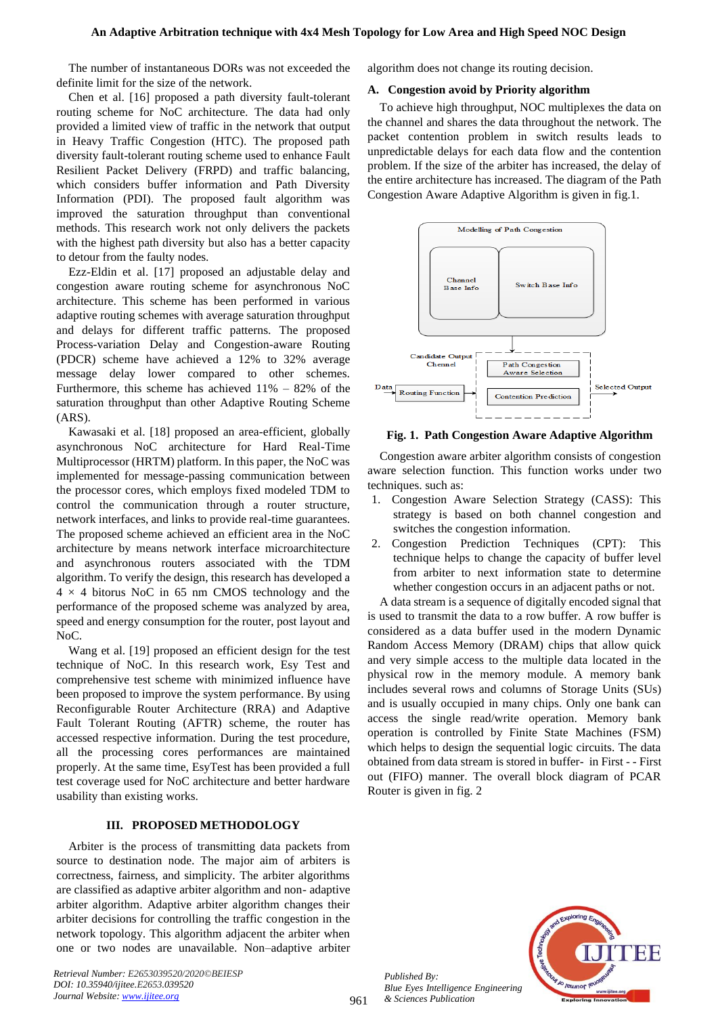The number of instantaneous DORs was not exceeded the definite limit for the size of the network.

Chen et al. [16] proposed a path diversity fault-tolerant routing scheme for NoC architecture. The data had only provided a limited view of traffic in the network that output in Heavy Traffic Congestion (HTC). The proposed path diversity fault-tolerant routing scheme used to enhance Fault Resilient Packet Delivery (FRPD) and traffic balancing, which considers buffer information and Path Diversity Information (PDI). The proposed fault algorithm was improved the saturation throughput than conventional methods. This research work not only delivers the packets with the highest path diversity but also has a better capacity to detour from the faulty nodes.

Ezz-Eldin et al. [17] proposed an adjustable delay and congestion aware routing scheme for asynchronous NoC architecture. This scheme has been performed in various adaptive routing schemes with average saturation throughput and delays for different traffic patterns. The proposed Process-variation Delay and Congestion-aware Routing (PDCR) scheme have achieved a 12% to 32% average message delay lower compared to other schemes. Furthermore, this scheme has achieved 11% – 82% of the saturation throughput than other Adaptive Routing Scheme (ARS).

Kawasaki et al. [18] proposed an area-efficient, globally asynchronous NoC architecture for Hard Real-Time Multiprocessor (HRTM) platform. In this paper, the NoC was implemented for message-passing communication between the processor cores, which employs fixed modeled TDM to control the communication through a router structure, network interfaces, and links to provide real-time guarantees. The proposed scheme achieved an efficient area in the NoC architecture by means network interface microarchitecture and asynchronous routers associated with the TDM algorithm. To verify the design, this research has developed a  $4 \times 4$  bitorus NoC in 65 nm CMOS technology and the performance of the proposed scheme was analyzed by area, speed and energy consumption for the router, post layout and NoC.

Wang et al. [19] proposed an efficient design for the test technique of NoC. In this research work, Esy Test and comprehensive test scheme with minimized influence have been proposed to improve the system performance. By using Reconfigurable Router Architecture (RRA) and Adaptive Fault Tolerant Routing (AFTR) scheme, the router has accessed respective information. During the test procedure, all the processing cores performances are maintained properly. At the same time, EsyTest has been provided a full test coverage used for NoC architecture and better hardware usability than existing works.

# **III. PROPOSED METHODOLOGY**

Arbiter is the process of transmitting data packets from source to destination node. The major aim of arbiters is correctness, fairness, and simplicity. The arbiter algorithms are classified as adaptive arbiter algorithm and non- adaptive arbiter algorithm. Adaptive arbiter algorithm changes their arbiter decisions for controlling the traffic congestion in the network topology. This algorithm adjacent the arbiter when one or two nodes are unavailable. Non–adaptive arbiter

*Retrieval Number: E2653039520/2020©BEIESP DOI: 10.35940/ijitee.E2653.039520 Journal Website[: www.ijitee.org](http://www.ijitee.org/)*

algorithm does not change its routing decision.

# **A. Congestion avoid by Priority algorithm**

To achieve high throughput, NOC multiplexes the data on the channel and shares the data throughout the network. The packet contention problem in switch results leads to unpredictable delays for each data flow and the contention problem. If the size of the arbiter has increased, the delay of the entire architecture has increased. The diagram of the Path Congestion Aware Adaptive Algorithm is given in fig.1.



**Fig. 1. Path Congestion Aware Adaptive Algorithm**

Congestion aware arbiter algorithm consists of congestion aware selection function. This function works under two techniques. such as:

- 1. Congestion Aware Selection Strategy (CASS): This strategy is based on both channel congestion and switches the congestion information.
- 2. Congestion Prediction Techniques (CPT): This technique helps to change the capacity of buffer level from arbiter to next information state to determine whether congestion occurs in an adjacent paths or not.

A data stream is a sequence of digitally encoded signal that is used to transmit the data to a row buffer. A row buffer is considered as a data buffer used in the modern Dynamic Random Access Memory (DRAM) chips that allow quick and very simple access to the multiple data located in the physical row in the memory module. A memory bank includes several rows and columns of Storage Units (SUs) and is usually occupied in many chips. Only one bank can access the single read/write operation. Memory bank operation is controlled by Finite State Machines (FSM) which helps to design the sequential logic circuits. The data obtained from data stream is stored in buffer- in First - - First out (FIFO) manner. The overall block diagram of PCAR Router is given in fig. 2



*Published By: Blue Eyes Intelligence Engineering & Sciences Publication*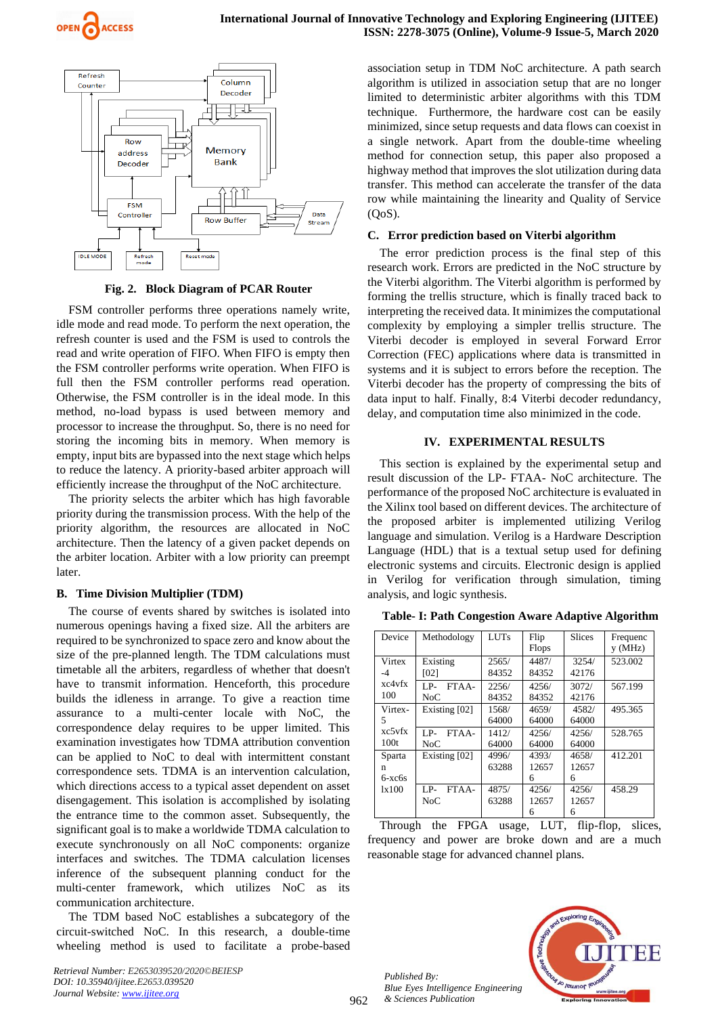



**Fig. 2. Block Diagram of PCAR Router**

FSM controller performs three operations namely write, idle mode and read mode. To perform the next operation, the refresh counter is used and the FSM is used to controls the read and write operation of FIFO. When FIFO is empty then the FSM controller performs write operation. When FIFO is full then the FSM controller performs read operation. Otherwise, the FSM controller is in the ideal mode. In this method, no-load bypass is used between memory and processor to increase the throughput. So, there is no need for storing the incoming bits in memory. When memory is empty, input bits are bypassed into the next stage which helps to reduce the latency. A priority-based arbiter approach will efficiently increase the throughput of the NoC architecture.

The priority selects the arbiter which has high favorable priority during the transmission process. With the help of the priority algorithm, the resources are allocated in NoC architecture. Then the latency of a given packet depends on the arbiter location. Arbiter with a low priority can preempt later.

## **B. Time Division Multiplier (TDM)**

The course of events shared by switches is isolated into numerous openings having a fixed size. All the arbiters are required to be synchronized to space zero and know about the size of the pre-planned length. The TDM calculations must timetable all the arbiters, regardless of whether that doesn't have to transmit information. Henceforth, this procedure builds the idleness in arrange. To give a reaction time assurance to a multi-center locale with NoC, the correspondence delay requires to be upper limited. This examination investigates how TDMA attribution convention can be applied to NoC to deal with intermittent constant correspondence sets. TDMA is an intervention calculation, which directions access to a typical asset dependent on asset disengagement. This isolation is accomplished by isolating the entrance time to the common asset. Subsequently, the significant goal is to make a worldwide TDMA calculation to execute synchronously on all NoC components: organize interfaces and switches. The TDMA calculation licenses inference of the subsequent planning conduct for the multi-center framework, which utilizes NoC as its communication architecture.

The TDM based NoC establishes a subcategory of the circuit-switched NoC. In this research, a double-time wheeling method is used to facilitate a probe-based association setup in TDM NoC architecture. A path search algorithm is utilized in association setup that are no longer limited to deterministic arbiter algorithms with this TDM technique. Furthermore, the hardware cost can be easily minimized, since setup requests and data flows can coexist in a single network. Apart from the double-time wheeling method for connection setup, this paper also proposed a highway method that improves the slot utilization during data transfer. This method can accelerate the transfer of the data row while maintaining the linearity and Quality of Service (QoS).

#### **C. Error prediction based on Viterbi algorithm**

The error prediction process is the final step of this research work. Errors are predicted in the NoC structure by the Viterbi algorithm. The Viterbi algorithm is performed by forming the trellis structure, which is finally traced back to interpreting the received data. It minimizes the computational complexity by employing a simpler trellis structure. The Viterbi decoder is employed in several Forward Error Correction (FEC) applications where data is transmitted in systems and it is subject to errors before the reception. The Viterbi decoder has the property of compressing the bits of data input to half. Finally, 8:4 Viterbi decoder redundancy, delay, and computation time also minimized in the code.

#### **IV. EXPERIMENTAL RESULTS**

This section is explained by the experimental setup and result discussion of the LP- FTAA- NoC architecture. The performance of the proposed NoC architecture is evaluated in the Xilinx tool based on different devices. The architecture of the proposed arbiter is implemented utilizing Verilog language and simulation. Verilog is a Hardware Description Language (HDL) that is a textual setup used for defining electronic systems and circuits. Electronic design is applied in Verilog for verification through simulation, timing analysis, and logic synthesis.

| Device                            | Methodology           | <b>LUTs</b>    | Flip<br>Flops       | <b>Slices</b>       | Frequenc<br>v(MHz) |
|-----------------------------------|-----------------------|----------------|---------------------|---------------------|--------------------|
| Virtex<br>-4                      | Existing<br>[02]      | 2565/<br>84352 | 4487/<br>84352      | 3254/<br>42176      | 523.002            |
| xc4vfx<br>100                     | LP-<br>FTAA-<br>NoC   | 2256/<br>84352 | 4256/<br>84352      | 3072/<br>42176      | 567.199            |
| Virtex-<br>5                      | Existing [02]         | 1568/<br>64000 | 4659/<br>64000      | 4582/<br>64000      | 495.365            |
| xc5vfx<br>100t                    | $LP-$<br>FTAA-<br>NoC | 1412/<br>64000 | 4256/<br>64000      | 4256/<br>64000      | 528.765            |
| Sparta<br>n<br>$6-xc$ 6s<br>1x100 | Existing [02]         | 4996/<br>63288 | 4393/<br>12657<br>6 | 4658/<br>12657<br>6 | 412.201            |
|                                   | LP-<br>FTAA-<br>NoC   | 4875/<br>63288 | 4256/<br>12657<br>6 | 4256/<br>12657<br>6 | 458.29             |

**Table- I: Path Congestion Aware Adaptive Algorithm**

Through the FPGA usage, LUT, flip-flop, slices, frequency and power are broke down and are a much reasonable stage for advanced channel plans.

*Published By: Blue Eyes Intelligence Engineering & Sciences Publication* 

962

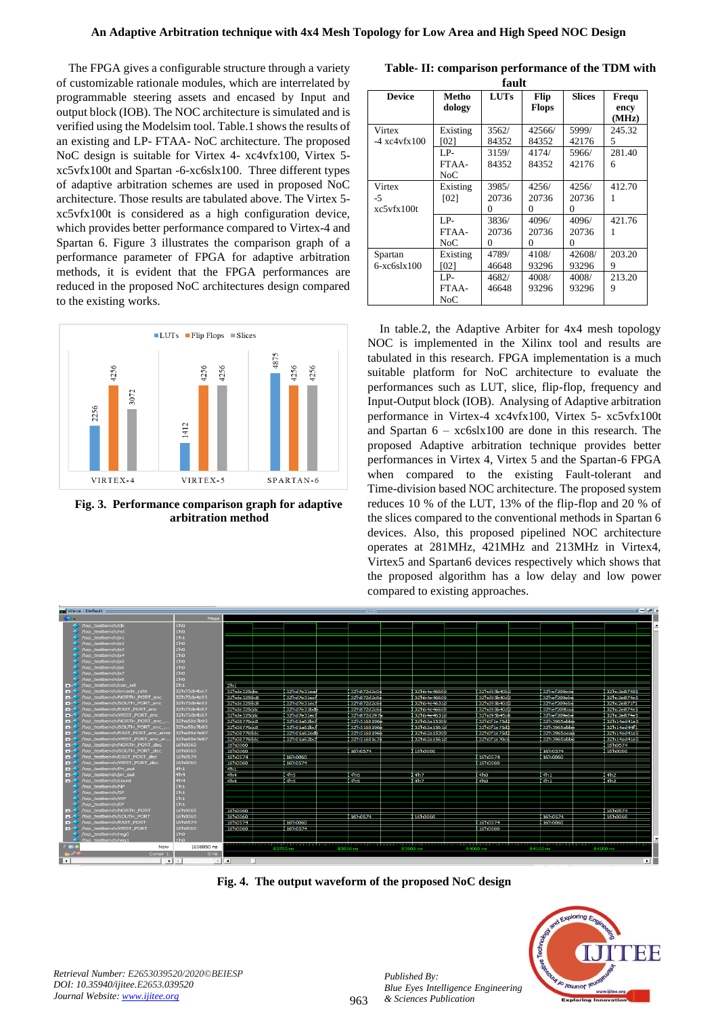The FPGA gives a configurable structure through a variety of customizable rationale modules, which are interrelated by programmable steering assets and encased by Input and output block (IOB). The NOC architecture is simulated and is verified using the Modelsim tool. Table.1 shows the results of an existing and LP- FTAA- NoC architecture. The proposed NoC design is suitable for Virtex 4- xc4vfx100, Virtex 5 xc5vfx100t and Spartan -6-xc6slx100. Three different types of adaptive arbitration schemes are used in proposed NoC architecture. Those results are tabulated above. The Virtex 5 xc5vfx100t is considered as a high configuration device, which provides better performance compared to Virtex-4 and Spartan 6. Figure 3 illustrates the comparison graph of a performance parameter of FPGA for adaptive arbitration methods, it is evident that the FPGA performances are reduced in the proposed NoC architectures design compared to the existing works.



**Fig. 3. Performance comparison graph for adaptive arbitration method** 

|  | Table- II: comparison performance of the TDM with |  |  |
|--|---------------------------------------------------|--|--|
|  | քշուհ                                             |  |  |

| maun                     |                 |             |                      |               |               |  |  |
|--------------------------|-----------------|-------------|----------------------|---------------|---------------|--|--|
| <b>Device</b>            | Metho<br>dology | <b>LUTs</b> | Flip<br><b>Flops</b> | <b>Slices</b> | Frequ<br>ency |  |  |
|                          |                 |             |                      |               | (MHz)         |  |  |
| Virtex                   | Existing        | 3562/       | 42566/               | 5999/         | 245.32        |  |  |
| $-4 \times 4 \times 100$ | [02]            | 84352       | 84352                | 42176         | 5             |  |  |
|                          | LP-             | 3159/       | 4174/                | 5966/         | 281.40        |  |  |
|                          | FTAA-           | 84352       | 84352                | 42176         | 6             |  |  |
|                          | NoC             |             |                      |               |               |  |  |
| Virtex                   | Existing        | 3985/       | 4256/                | 4256/         | 412.70        |  |  |
| -5                       | [02]            | 20736       | 20736                | 20736         |               |  |  |
| $x c$ 5 vfx 100t         |                 | $\Omega$    | 0                    | 0             |               |  |  |
|                          | LP-             | 3836/       | 4096/                | 4096/         | 421.76        |  |  |
|                          | FTAA-           | 20736       | 20736                | 20736         |               |  |  |
|                          | NoC             | 0           | 0                    | $\Omega$      |               |  |  |
| Spartan                  | Existing        | 4789/       | 4108/                | 42608/        | 203.20        |  |  |
| $6-xc6s1x100$            | [02]            | 46648       | 93296                | 93296         | 9             |  |  |
|                          | LP-             | 4682/       | 4008/                | 4008/         | 213.20        |  |  |
|                          | FTAA-           | 46648       | 93296                | 93296         | 9             |  |  |
|                          | NoC             |             |                      |               |               |  |  |

In table.2, the Adaptive Arbiter for 4x4 mesh topology NOC is implemented in the Xilinx tool and results are tabulated in this research. FPGA implementation is a much suitable platform for NoC architecture to evaluate the performances such as LUT, slice, flip-flop, frequency and Input-Output block (IOB). Analysing of Adaptive arbitration performance in Virtex-4 xc4vfx100, Virtex 5- xc5vfx100t and Spartan 6 – xc6slx100 are done in this research. The proposed Adaptive arbitration technique provides better performances in Virtex 4, Virtex 5 and the Spartan-6 FPGA when compared to the existing Fault-tolerant and Time-division based NOC architecture. The proposed system reduces 10 % of the LUT, 13% of the flip-flop and 20 % of the slices compared to the conventional methods in Spartan 6 devices. Also, this proposed pipelined NOC architecture operates at 281MHz, 421MHz and 213MHz in Virtex4, Virtex5 and Spartan6 devices respectively which shows that the proposed algorithm has a low delay and low power compared to existing approaches.



**Fig. 4. The output waveform of the proposed NoC design**

963



*Retrieval Number: E2653039520/2020©BEIESP DOI: 10.35940/ijitee.E2653.039520 Journal Website[: www.ijitee.org](http://www.ijitee.org/)*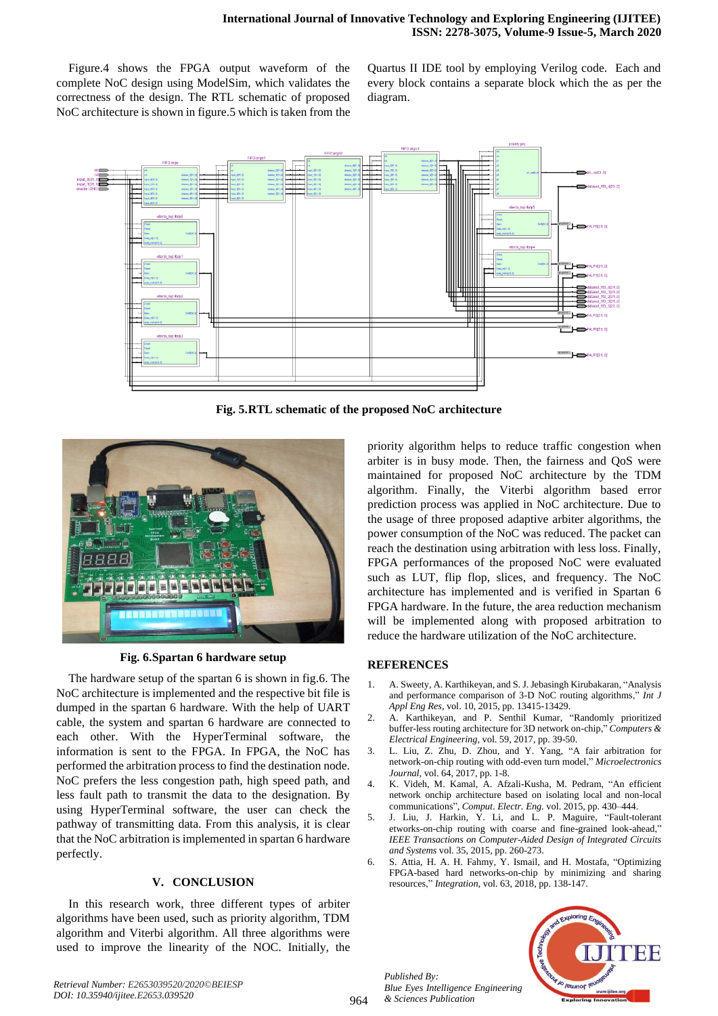Figure.4 shows the FPGA output waveform of the complete NoC design using ModelSim, which validates the correctness of the design. The RTL schematic of proposed NoC architecture is shown in figure.5 which is taken from the

Quartus II IDE tool by employing Verilog code. Each and every block contains a separate block which the as per the diagram.



**Fig. 5.RTL schematic of the proposed NoC architecture**



**Fig. 6.Spartan 6 hardware setup**

The hardware setup of the spartan 6 is shown in fig.6. The NoC architecture is implemented and the respective bit file is dumped in the spartan 6 hardware. With the help of UART cable, the system and spartan 6 hardware are connected to each other. With the HyperTerminal software, the information is sent to the FPGA. In FPGA, the NoC has performed the arbitration process to find the destination node. NoC prefers the less congestion path, high speed path, and less fault path to transmit the data to the designation. By using HyperTerminal software, the user can check the pathway of transmitting data. From this analysis, it is clear that the NoC arbitration is implemented in spartan 6 hardware perfectly.

## **V. CONCLUSION**

In this research work, three different types of arbiter algorithms have been used, such as priority algorithm, TDM algorithm and Viterbi algorithm. All three algorithms were used to improve the linearity of the NOC. Initially, the

priority algorithm helps to reduce traffic congestion when arbiter is in busy mode. Then, the fairness and QoS were maintained for proposed NoC architecture by the TDM algorithm. Finally, the Viterbi algorithm based error prediction process was applied in NoC architecture. Due to the usage of three proposed adaptive arbiter algorithms, the power consumption of the NoC was reduced. The packet can reach the destination using arbitration with less loss. Finally, FPGA performances of the proposed NoC were evaluated such as LUT, flip flop, slices, and frequency. The NoC architecture has implemented and is verified in Spartan 6 FPGA hardware. In the future, the area reduction mechanism will be implemented along with proposed arbitration to reduce the hardware utilization of the NoC architecture.

## **REFERENCES**

- 1. A. Sweety, A. Karthikeyan, and S. J. Jebasingh Kirubakaran, "Analysis and performance comparison of 3-D NoC routing algorithms," *Int J Appl Eng Res*, vol. 10, 2015, pp. 13415-13429.
- 2. A. Karthikeyan, and P. Senthil Kumar, "Randomly prioritized buffer-less routing architecture for 3D network on-chip," *Computers & Electrical Engineering,* vol. 59, 2017, pp. 39-50.
- 3. L. Liu, Z. Zhu, D. Zhou, and Y. Yang, "A fair arbitration for network-on-chip routing with odd-even turn model," *Microelectronics Journal,* vol. 64, 2017, pp. 1-8.
- 4. K. Videh, M. Kamal, A. Afzali-Kusha, M. Pedram, "An efficient network onchip architecture based on isolating local and non-local communications", *Comput. Electr. Eng.* vol. 2015, pp. 430–444.
- 5. J. Liu, J. Harkin, Y. Li, and L. P. Maguire, "Fault-tolerant etworks-on-chip routing with coarse and fine-grained look-ahead," *IEEE Transactions on Computer-Aided Design of Integrated Circuits and Systems* vol. 35, 2015, pp. 260-273.
- 6. S. Attia, H. A. H. Fahmy, Y. Ismail, and H. Mostafa, "Optimizing FPGA-based hard networks-on-chip by minimizing and sharing resources," *Integration*, vol. 63, 2018, pp. 138-147.